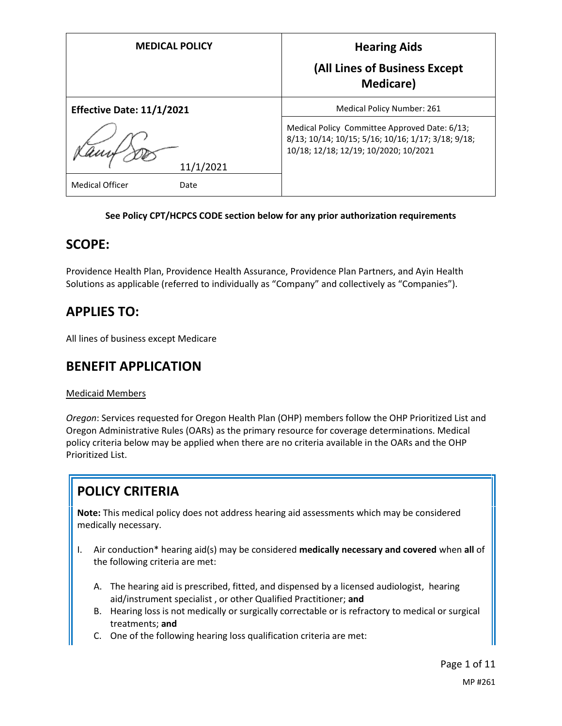| <b>MEDICAL POLICY</b>            | <b>Hearing Aids</b><br>(All Lines of Business Except<br><b>Medicare</b> )                                                                    |
|----------------------------------|----------------------------------------------------------------------------------------------------------------------------------------------|
| <b>Effective Date: 11/1/2021</b> | <b>Medical Policy Number: 261</b>                                                                                                            |
| 11/1/2021                        | Medical Policy Committee Approved Date: 6/13;<br>8/13; 10/14; 10/15; 5/16; 10/16; 1/17; 3/18; 9/18;<br>10/18; 12/18; 12/19; 10/2020; 10/2021 |
| <b>Medical Officer</b><br>Date   |                                                                                                                                              |

#### **See Policy CPT/HCPCS CODE section below for any prior authorization requirements**

### **SCOPE:**

Providence Health Plan, Providence Health Assurance, Providence Plan Partners, and Ayin Health Solutions as applicable (referred to individually as "Company" and collectively as "Companies").

# **APPLIES TO:**

All lines of business except Medicare

## **BENEFIT APPLICATION**

#### Medicaid Members

*Oregon*: Services requested for Oregon Health Plan (OHP) members follow the OHP Prioritized List and Oregon Administrative Rules (OARs) as the primary resource for coverage determinations. Medical policy criteria below may be applied when there are no criteria available in the OARs and the OHP Prioritized List.

# **POLICY CRITERIA**

**Note:** This medical policy does not address hearing aid assessments which may be considered medically necessary.

- I. Air conduction\* hearing aid(s) may be considered **medically necessary and covered** when **all** of the following criteria are met:
	- A. The hearing aid is prescribed, fitted, and dispensed by a licensed audiologist, hearing aid/instrument specialist , or other Qualified Practitioner; **and**
	- B. Hearing loss is not medically or surgically correctable or is refractory to medical or surgical treatments; **and**
	- C. One of the following hearing loss qualification criteria are met: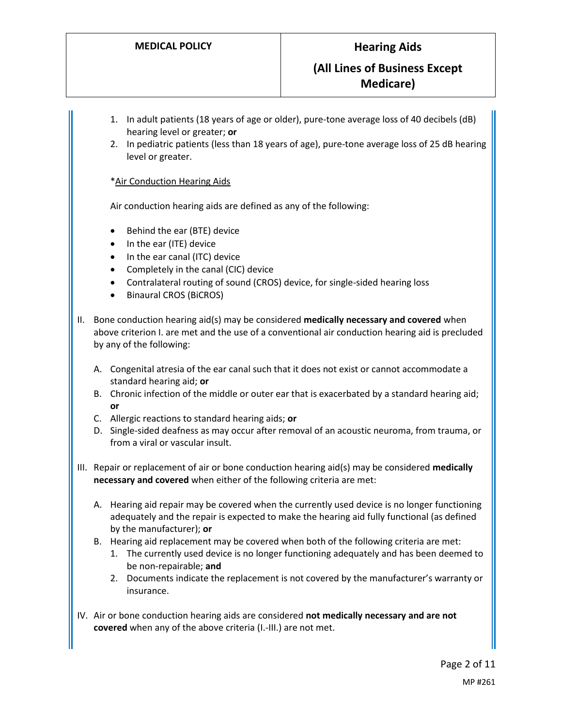### **(All Lines of Business Except Medicare)**

- 1. In adult patients (18 years of age or older), pure-tone average loss of 40 decibels (dB) hearing level or greater; **or**
- 2. In pediatric patients (less than 18 years of age), pure-tone average loss of 25 dB hearing level or greater.

\*Air Conduction Hearing Aids

Air conduction hearing aids are defined as any of the following:

- Behind the ear (BTE) device
- In the ear (ITE) device
- In the ear canal (ITC) device
- Completely in the canal (CIC) device
- Contralateral routing of sound (CROS) device, for single-sided hearing loss
- Binaural CROS (BiCROS)
- II. Bone conduction hearing aid(s) may be considered **medically necessary and covered** when above criterion I. are met and the use of a conventional air conduction hearing aid is precluded by any of the following:
	- A. Congenital atresia of the ear canal such that it does not exist or cannot accommodate a standard hearing aid; **or**
	- B. Chronic infection of the middle or outer ear that is exacerbated by a standard hearing aid; **or**
	- C. Allergic reactions to standard hearing aids; **or**
	- D. Single-sided deafness as may occur after removal of an acoustic neuroma, from trauma, or from a viral or vascular insult.
- III. Repair or replacement of air or bone conduction hearing aid(s) may be considered **medically necessary and covered** when either of the following criteria are met:
	- A. Hearing aid repair may be covered when the currently used device is no longer functioning adequately and the repair is expected to make the hearing aid fully functional (as defined by the manufacturer); **or**
	- B. Hearing aid replacement may be covered when both of the following criteria are met:
		- 1. The currently used device is no longer functioning adequately and has been deemed to be non-repairable; **and**
		- 2. Documents indicate the replacement is not covered by the manufacturer's warranty or insurance.
- IV. Air or bone conduction hearing aids are considered **not medically necessary and are not covered** when any of the above criteria (I.-III.) are not met.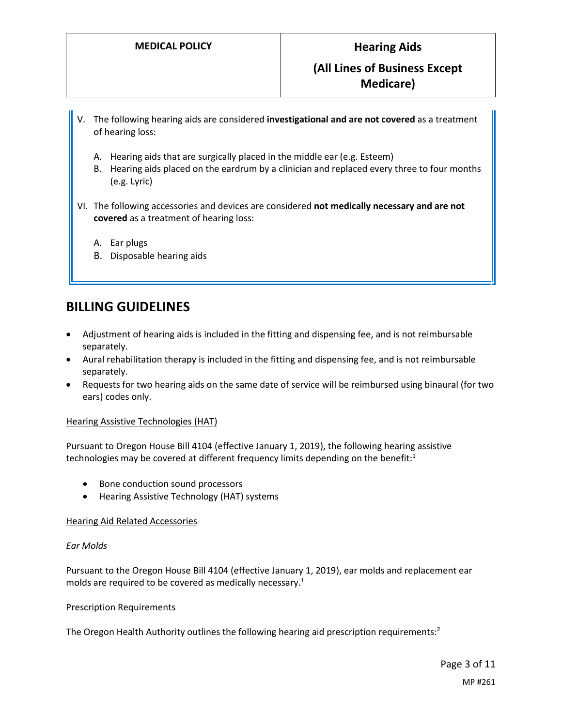- V. The following hearing aids are considered **investigational and are not covered** as a treatment of hearing loss:
	- A. Hearing aids that are surgically placed in the middle ear (e.g. Esteem)
	- B. Hearing aids placed on the eardrum by a clinician and replaced every three to four months (e.g. Lyric)
- VI. The following accessories and devices are considered **not medically necessary and are not covered** as a treatment of hearing loss:
	- A. Ear plugs
	- B. Disposable hearing aids

## **BILLING GUIDELINES**

- Adjustment of hearing aids is included in the fitting and dispensing fee, and is not reimbursable separately.
- Aural rehabilitation therapy is included in the fitting and dispensing fee, and is not reimbursable separately.
- Requests for two hearing aids on the same date of service will be reimbursed using binaural (for two ears) codes only.

#### Hearing Assistive Technologies (HAT)

Pursuant to Oregon House Bill 4104 (effective January 1, 2019), the following hearing assistive technologies may be covered at different frequency limits depending on the benefit:<sup>1</sup>

- Bone conduction sound processors
- Hearing Assistive Technology (HAT) systems

#### Hearing Aid Related Accessories

#### *Ear Molds*

Pursuant to the Oregon House Bill 4104 (effective January 1, 2019), ear molds and replacement ear molds are required to be covered as medically necessary.<sup>1</sup>

#### Prescription Requirements

The Oregon Health Authority outlines the following hearing aid prescription requirements: $2$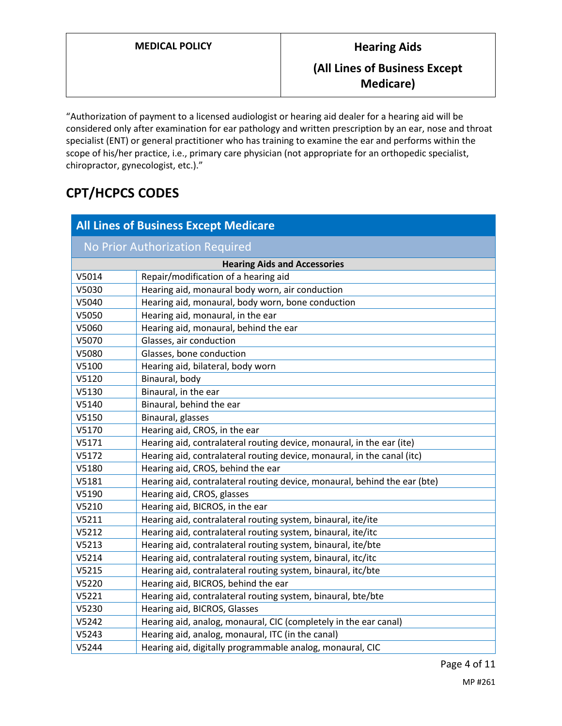**Medicare)**

"Authorization of payment to a licensed audiologist or hearing aid dealer for a hearing aid will be considered only after examination for ear pathology and written prescription by an ear, nose and throat specialist (ENT) or general practitioner who has training to examine the ear and performs within the scope of his/her practice, i.e., primary care physician (not appropriate for an orthopedic specialist, chiropractor, gynecologist, etc.)."

# **CPT/HCPCS CODES**

| <b>All Lines of Business Except Medicare</b> |                                                                           |  |  |
|----------------------------------------------|---------------------------------------------------------------------------|--|--|
| No Prior Authorization Required              |                                                                           |  |  |
| <b>Hearing Aids and Accessories</b>          |                                                                           |  |  |
| V5014                                        | Repair/modification of a hearing aid                                      |  |  |
| V5030                                        | Hearing aid, monaural body worn, air conduction                           |  |  |
| V5040                                        | Hearing aid, monaural, body worn, bone conduction                         |  |  |
| V5050                                        | Hearing aid, monaural, in the ear                                         |  |  |
| V5060                                        | Hearing aid, monaural, behind the ear                                     |  |  |
| V5070                                        | Glasses, air conduction                                                   |  |  |
| V5080                                        | Glasses, bone conduction                                                  |  |  |
| V5100                                        | Hearing aid, bilateral, body worn                                         |  |  |
| V5120                                        | Binaural, body                                                            |  |  |
| V5130                                        | Binaural, in the ear                                                      |  |  |
| V5140                                        | Binaural, behind the ear                                                  |  |  |
| V5150                                        | Binaural, glasses                                                         |  |  |
| V5170                                        | Hearing aid, CROS, in the ear                                             |  |  |
| V5171                                        | Hearing aid, contralateral routing device, monaural, in the ear (ite)     |  |  |
| V5172                                        | Hearing aid, contralateral routing device, monaural, in the canal (itc)   |  |  |
| V5180                                        | Hearing aid, CROS, behind the ear                                         |  |  |
| V5181                                        | Hearing aid, contralateral routing device, monaural, behind the ear (bte) |  |  |
| V5190                                        | Hearing aid, CROS, glasses                                                |  |  |
| V5210                                        | Hearing aid, BICROS, in the ear                                           |  |  |
| V5211                                        | Hearing aid, contralateral routing system, binaural, ite/ite              |  |  |
| V5212                                        | Hearing aid, contralateral routing system, binaural, ite/itc              |  |  |
| V5213                                        | Hearing aid, contralateral routing system, binaural, ite/bte              |  |  |
| V5214                                        | Hearing aid, contralateral routing system, binaural, itc/itc              |  |  |
| V5215                                        | Hearing aid, contralateral routing system, binaural, itc/bte              |  |  |
| V5220                                        | Hearing aid, BICROS, behind the ear                                       |  |  |
| V5221                                        | Hearing aid, contralateral routing system, binaural, bte/bte              |  |  |
| V5230                                        | Hearing aid, BICROS, Glasses                                              |  |  |
| V5242                                        | Hearing aid, analog, monaural, CIC (completely in the ear canal)          |  |  |
| V5243                                        | Hearing aid, analog, monaural, ITC (in the canal)                         |  |  |
| V5244                                        | Hearing aid, digitally programmable analog, monaural, CIC                 |  |  |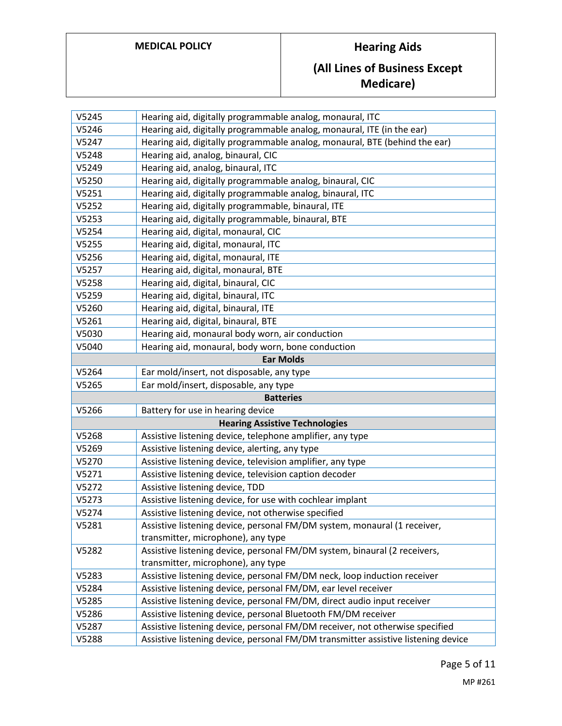# **MEDICAL POLICY Hearing Aids**

# **(All Lines of Business Except Medicare)**

| V5245 | Hearing aid, digitally programmable analog, monaural, ITC                         |
|-------|-----------------------------------------------------------------------------------|
| V5246 | Hearing aid, digitally programmable analog, monaural, ITE (in the ear)            |
| V5247 | Hearing aid, digitally programmable analog, monaural, BTE (behind the ear)        |
| V5248 | Hearing aid, analog, binaural, CIC                                                |
| V5249 | Hearing aid, analog, binaural, ITC                                                |
| V5250 | Hearing aid, digitally programmable analog, binaural, CIC                         |
| V5251 | Hearing aid, digitally programmable analog, binaural, ITC                         |
| V5252 | Hearing aid, digitally programmable, binaural, ITE                                |
| V5253 | Hearing aid, digitally programmable, binaural, BTE                                |
| V5254 | Hearing aid, digital, monaural, CIC                                               |
| V5255 | Hearing aid, digital, monaural, ITC                                               |
| V5256 | Hearing aid, digital, monaural, ITE                                               |
| V5257 | Hearing aid, digital, monaural, BTE                                               |
| V5258 | Hearing aid, digital, binaural, CIC                                               |
| V5259 | Hearing aid, digital, binaural, ITC                                               |
| V5260 | Hearing aid, digital, binaural, ITE                                               |
| V5261 | Hearing aid, digital, binaural, BTE                                               |
| V5030 | Hearing aid, monaural body worn, air conduction                                   |
| V5040 | Hearing aid, monaural, body worn, bone conduction                                 |
|       | <b>Ear Molds</b>                                                                  |
| V5264 | Ear mold/insert, not disposable, any type                                         |
| V5265 | Ear mold/insert, disposable, any type                                             |
|       | <b>Batteries</b>                                                                  |
| V5266 | Battery for use in hearing device                                                 |
|       | <b>Hearing Assistive Technologies</b>                                             |
| V5268 | Assistive listening device, telephone amplifier, any type                         |
| V5269 | Assistive listening device, alerting, any type                                    |
| V5270 | Assistive listening device, television amplifier, any type                        |
| V5271 | Assistive listening device, television caption decoder                            |
| V5272 | Assistive listening device, TDD                                                   |
| V5273 | Assistive listening device, for use with cochlear implant                         |
| V5274 | Assistive listening device, not otherwise specified                               |
| V5281 | Assistive listening device, personal FM/DM system, monaural (1 receiver,          |
|       | transmitter, microphone), any type                                                |
| V5282 | Assistive listening device, personal FM/DM system, binaural (2 receivers,         |
|       | transmitter, microphone), any type                                                |
| V5283 | Assistive listening device, personal FM/DM neck, loop induction receiver          |
| V5284 | Assistive listening device, personal FM/DM, ear level receiver                    |
| V5285 | Assistive listening device, personal FM/DM, direct audio input receiver           |
| V5286 | Assistive listening device, personal Bluetooth FM/DM receiver                     |
| V5287 | Assistive listening device, personal FM/DM receiver, not otherwise specified      |
| V5288 | Assistive listening device, personal FM/DM transmitter assistive listening device |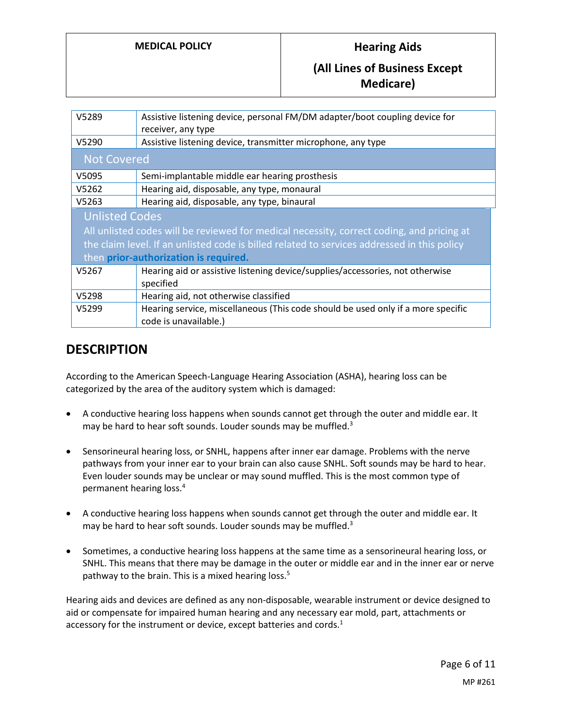### **(All Lines of Business Except Medicare)**

| V5289                                                                                       | Assistive listening device, personal FM/DM adapter/boot coupling device for               |  |
|---------------------------------------------------------------------------------------------|-------------------------------------------------------------------------------------------|--|
|                                                                                             | receiver, any type                                                                        |  |
| V5290                                                                                       | Assistive listening device, transmitter microphone, any type                              |  |
| <b>Not Covered</b>                                                                          |                                                                                           |  |
| V5095                                                                                       | Semi-implantable middle ear hearing prosthesis                                            |  |
| V5262                                                                                       | Hearing aid, disposable, any type, monaural                                               |  |
| V5263                                                                                       | Hearing aid, disposable, any type, binaural                                               |  |
| <b>Unlisted Codes</b>                                                                       |                                                                                           |  |
|                                                                                             | All unlisted codes will be reviewed for medical necessity, correct coding, and pricing at |  |
| the claim level. If an unlisted code is billed related to services addressed in this policy |                                                                                           |  |
| then prior-authorization is required.                                                       |                                                                                           |  |
| V5267                                                                                       | Hearing aid or assistive listening device/supplies/accessories, not otherwise             |  |
|                                                                                             | specified                                                                                 |  |
| V5298                                                                                       | Hearing aid, not otherwise classified                                                     |  |
| V5299                                                                                       | Hearing service, miscellaneous (This code should be used only if a more specific          |  |
|                                                                                             | code is unavailable.)                                                                     |  |

# **DESCRIPTION**

According to the American Speech-Language Hearing Association (ASHA), hearing loss can be categorized by the area of the auditory system which is damaged:

- A conductive hearing loss happens when sounds cannot get through the outer and middle ear. It may be hard to hear soft sounds. Louder sounds may be muffled.<sup>3</sup>
- Sensorineural hearing loss, or SNHL, happens after inner ear damage. Problems with the nerve pathways from your inner ear to your brain can also cause SNHL. Soft sounds may be hard to hear. Even louder sounds may be unclear or may sound muffled. This is the most common type of permanent hearing loss.<sup>4</sup>
- A conductive hearing loss happens when sounds cannot get through the outer and middle ear. It may be hard to hear soft sounds. Louder sounds may be muffled.<sup>3</sup>
- Sometimes, a conductive hearing loss happens at the same time as a sensorineural hearing loss, or SNHL. This means that there may be damage in the outer or middle ear and in the inner ear or nerve pathway to the brain. This is a mixed hearing loss.<sup>5</sup>

Hearing aids and devices are defined as any non-disposable, wearable instrument or device designed to aid or compensate for impaired human hearing and any necessary ear mold, part, attachments or accessory for the instrument or device, except batteries and cords.<sup>1</sup>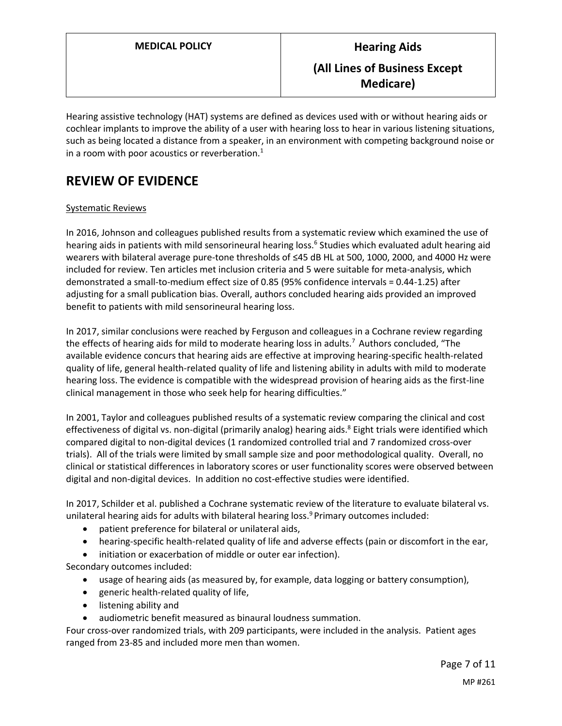Hearing assistive technology (HAT) systems are defined as devices used with or without hearing aids or cochlear implants to improve the ability of a user with hearing loss to hear in various listening situations, such as being located a distance from a speaker, in an environment with competing background noise or in a room with poor acoustics or reverberation. $<sup>1</sup>$ </sup>

# **REVIEW OF EVIDENCE**

#### Systematic Reviews

In 2016, Johnson and colleagues published results from a systematic review which examined the use of hearing aids in patients with mild sensorineural hearing loss.<sup>6</sup> Studies which evaluated adult hearing aid wearers with bilateral average pure-tone thresholds of ≤45 dB HL at 500, 1000, 2000, and 4000 Hz were included for review. Ten articles met inclusion criteria and 5 were suitable for meta-analysis, which demonstrated a small-to-medium effect size of 0.85 (95% confidence intervals = 0.44-1.25) after adjusting for a small publication bias. Overall, authors concluded hearing aids provided an improved benefit to patients with mild sensorineural hearing loss.

In 2017, similar conclusions were reached by Ferguson and colleagues in a Cochrane review regarding the effects of hearing aids for mild to moderate hearing loss in adults.<sup>7</sup> Authors concluded, "The available evidence concurs that hearing aids are effective at improving hearing-specific health-related quality of life, general health-related quality of life and listening ability in adults with mild to moderate hearing loss. The evidence is compatible with the widespread provision of hearing aids as the first-line clinical management in those who seek help for hearing difficulties."

In 2001, Taylor and colleagues published results of a systematic review comparing the clinical and cost effectiveness of digital vs. non-digital (primarily analog) hearing aids.<sup>8</sup> Eight trials were identified which compared digital to non-digital devices (1 randomized controlled trial and 7 randomized cross-over trials). All of the trials were limited by small sample size and poor methodological quality. Overall, no clinical or statistical differences in laboratory scores or user functionality scores were observed between digital and non-digital devices. In addition no cost-effective studies were identified.

In 2017, Schilder et al. published a Cochrane systematic review of the literature to evaluate bilateral vs. unilateral hearing aids for adults with bilateral hearing loss.<sup>9</sup> Primary outcomes included:

- patient preference for bilateral or unilateral aids,
- hearing-specific health-related quality of life and adverse effects (pain or discomfort in the ear,
- initiation or exacerbation of middle or outer ear infection).

Secondary outcomes included:

- usage of hearing aids (as measured by, for example, data logging or battery consumption),
- generic health-related quality of life,
- **•** listening ability and
- audiometric benefit measured as binaural loudness summation.

Four cross-over randomized trials, with 209 participants, were included in the analysis. Patient ages ranged from 23-85 and included more men than women.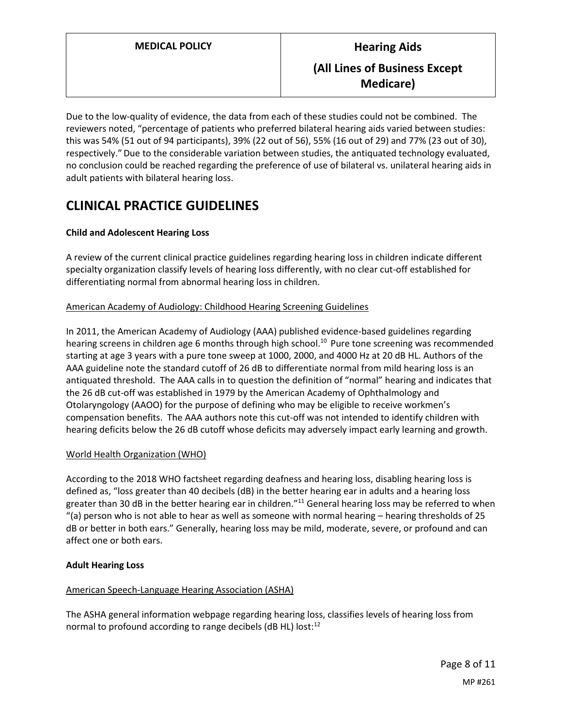Due to the low-quality of evidence, the data from each of these studies could not be combined. The reviewers noted, "percentage of patients who preferred bilateral hearing aids varied between studies: this was 54% (51 out of 94 participants), 39% (22 out of 56), 55% (16 out of 29) and 77% (23 out of 30), respectively."Due to the considerable variation between studies, the antiquated technology evaluated, no conclusion could be reached regarding the preference of use of bilateral vs. unilateral hearing aids in adult patients with bilateral hearing loss.

# **CLINICAL PRACTICE GUIDELINES**

#### **Child and Adolescent Hearing Loss**

A review of the current clinical practice guidelines regarding hearing loss in children indicate different specialty organization classify levels of hearing loss differently, with no clear cut-off established for differentiating normal from abnormal hearing loss in children.

#### American Academy of Audiology: Childhood Hearing Screening Guidelines

In 2011, the American Academy of Audiology (AAA) published evidence-based guidelines regarding hearing screens in children age 6 months through high school.<sup>10</sup> Pure tone screening was recommended starting at age 3 years with a pure tone sweep at 1000, 2000, and 4000 Hz at 20 dB HL. Authors of the AAA guideline note the standard cutoff of 26 dB to differentiate normal from mild hearing loss is an antiquated threshold. The AAA calls in to question the definition of "normal" hearing and indicates that the 26 dB cut-off was established in 1979 by the American Academy of Ophthalmology and Otolaryngology (AAOO) for the purpose of defining who may be eligible to receive workmen's compensation benefits. The AAA authors note this cut-off was not intended to identify children with hearing deficits below the 26 dB cutoff whose deficits may adversely impact early learning and growth.

#### World Health Organization (WHO)

According to the 2018 WHO factsheet regarding deafness and hearing loss, disabling hearing loss is defined as, "loss greater than 40 decibels (dB) in the better hearing ear in adults and a hearing loss greater than 30 dB in the better hearing ear in children."<sup>11</sup> General hearing loss may be referred to when "(a) person who is not able to hear as well as someone with normal hearing – hearing thresholds of 25 dB or better in both ears." Generally, hearing loss may be mild, moderate, severe, or profound and can affect one or both ears.

#### **Adult Hearing Loss**

### American Speech-Language Hearing Association (ASHA)

The ASHA general information webpage regarding hearing loss, classifies levels of hearing loss from normal to profound according to range decibels (dB HL) lost:<sup>12</sup>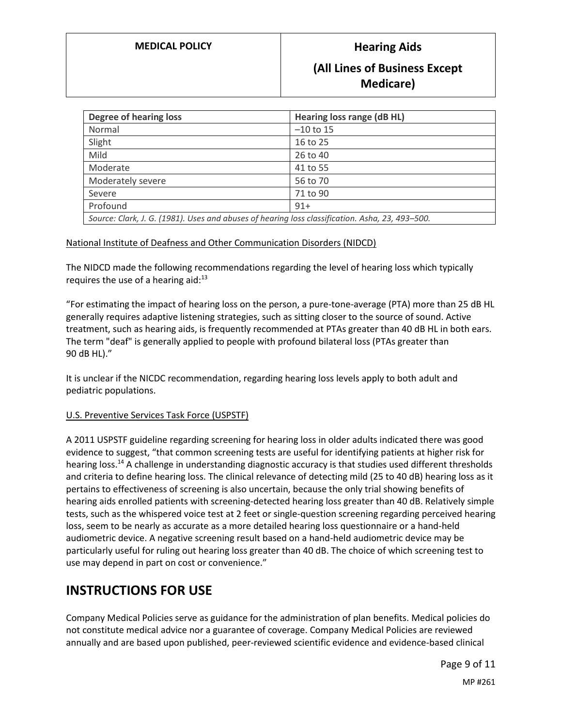### **MEDICAL POLICY Hearing Aids**

### **(All Lines of Business Except Medicare)**

| <b>Degree of hearing loss</b>                                                                   | Hearing loss range (dB HL) |  |
|-------------------------------------------------------------------------------------------------|----------------------------|--|
| Normal                                                                                          | $-10$ to 15                |  |
| Slight                                                                                          | 16 to 25                   |  |
| Mild                                                                                            | 26 to 40                   |  |
| Moderate                                                                                        | 41 to 55                   |  |
| Moderately severe                                                                               | 56 to 70                   |  |
| Severe                                                                                          | 71 to 90                   |  |
| Profound                                                                                        | $91+$                      |  |
| Source: Clark, J. G. (1981). Uses and abuses of hearing loss classification. Asha, 23, 493-500. |                            |  |

#### National Institute of Deafness and Other Communication Disorders (NIDCD)

The NIDCD made the following recommendations regarding the level of hearing loss which typically requires the use of a hearing aid: $13$ 

"For estimating the impact of hearing loss on the person, a pure-tone-average (PTA) more than 25 dB HL generally requires adaptive listening strategies, such as sitting closer to the source of sound. Active treatment, such as hearing aids, is frequently recommended at PTAs greater than 40 dB HL in both ears. The term "deaf" is generally applied to people with profound bilateral loss (PTAs greater than 90 dB HL)."

It is unclear if the NICDC recommendation, regarding hearing loss levels apply to both adult and pediatric populations.

#### U.S. Preventive Services Task Force (USPSTF)

A 2011 USPSTF guideline regarding screening for hearing loss in older adults indicated there was good evidence to suggest, "that common screening tests are useful for identifying patients at higher risk for hearing loss.<sup>14</sup> A challenge in understanding diagnostic accuracy is that studies used different thresholds and criteria to define hearing loss. The clinical relevance of detecting mild (25 to 40 dB) hearing loss as it pertains to effectiveness of screening is also uncertain, because the only trial showing benefits of hearing aids enrolled patients with screening-detected hearing loss greater than 40 dB. Relatively simple tests, such as the whispered voice test at 2 feet or single-question screening regarding perceived hearing loss, seem to be nearly as accurate as a more detailed hearing loss questionnaire or a hand-held audiometric device. A negative screening result based on a hand-held audiometric device may be particularly useful for ruling out hearing loss greater than 40 dB. The choice of which screening test to use may depend in part on cost or convenience."

### **INSTRUCTIONS FOR USE**

Company Medical Policies serve as guidance for the administration of plan benefits. Medical policies do not constitute medical advice nor a guarantee of coverage. Company Medical Policies are reviewed annually and are based upon published, peer-reviewed scientific evidence and evidence-based clinical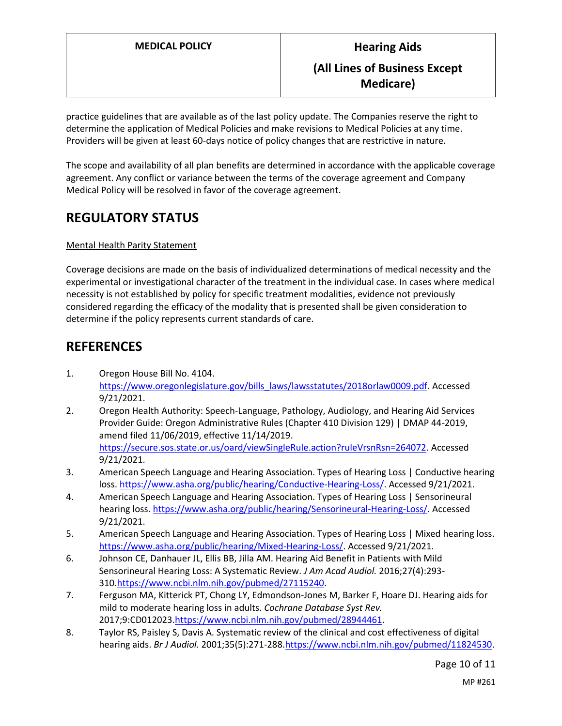practice guidelines that are available as of the last policy update. The Companies reserve the right to determine the application of Medical Policies and make revisions to Medical Policies at any time. Providers will be given at least 60-days notice of policy changes that are restrictive in nature.

The scope and availability of all plan benefits are determined in accordance with the applicable coverage agreement. Any conflict or variance between the terms of the coverage agreement and Company Medical Policy will be resolved in favor of the coverage agreement.

# **REGULATORY STATUS**

#### Mental Health Parity Statement

Coverage decisions are made on the basis of individualized determinations of medical necessity and the experimental or investigational character of the treatment in the individual case. In cases where medical necessity is not established by policy for specific treatment modalities, evidence not previously considered regarding the efficacy of the modality that is presented shall be given consideration to determine if the policy represents current standards of care.

# **REFERENCES**

- 1. Oregon House Bill No. 4104. [https://www.oregonlegislature.gov/bills\\_laws/lawsstatutes/2018orlaw0009.pdf.](https://www.oregonlegislature.gov/bills_laws/lawsstatutes/2018orlaw0009.pdf) Accessed 9/21/2021.
- 2. Oregon Health Authority: Speech-Language, Pathology, Audiology, and Hearing Aid Services Provider Guide: Oregon Administrative Rules (Chapter 410 Division 129) | DMAP 44-2019, amend filed 11/06/2019, effective 11/14/2019. [https://secure.sos.state.or.us/oard/viewSingleRule.action?ruleVrsnRsn=264072.](https://secure.sos.state.or.us/oard/viewSingleRule.action?ruleVrsnRsn=264072) Accessed 9/21/2021.
- 3. American Speech Language and Hearing Association. Types of Hearing Loss | Conductive hearing loss. [https://www.asha.org/public/hearing/Conductive-Hearing-Loss/.](https://www.asha.org/public/hearing/Conductive-Hearing-Loss/) Accessed 9/21/2021.
- 4. American Speech Language and Hearing Association. Types of Hearing Loss | Sensorineural hearing loss[. https://www.asha.org/public/hearing/Sensorineural-Hearing-Loss/.](https://www.asha.org/public/hearing/Sensorineural-Hearing-Loss/) Accessed 9/21/2021.
- 5. American Speech Language and Hearing Association. Types of Hearing Loss | Mixed hearing loss. [https://www.asha.org/public/hearing/Mixed-Hearing-Loss/.](https://www.asha.org/public/hearing/Mixed-Hearing-Loss/) Accessed 9/21/2021.
- 6. Johnson CE, Danhauer JL, Ellis BB, Jilla AM. Hearing Aid Benefit in Patients with Mild Sensorineural Hearing Loss: A Systematic Review. *J Am Acad Audiol.* 2016;27(4):293- 310[.https://www.ncbi.nlm.nih.gov/pubmed/27115240.](https://www.ncbi.nlm.nih.gov/pubmed/27115240)
- 7. Ferguson MA, Kitterick PT, Chong LY, Edmondson-Jones M, Barker F, Hoare DJ. Hearing aids for mild to moderate hearing loss in adults. *Cochrane Database Syst Rev.*  2017;9:CD012023[.https://www.ncbi.nlm.nih.gov/pubmed/28944461.](https://www.ncbi.nlm.nih.gov/pubmed/28944461)
- 8. Taylor RS, Paisley S, Davis A. Systematic review of the clinical and cost effectiveness of digital hearing aids. *Br J Audiol.* 2001;35(5):271-288[.https://www.ncbi.nlm.nih.gov/pubmed/11824530.](https://www.ncbi.nlm.nih.gov/pubmed/11824530)